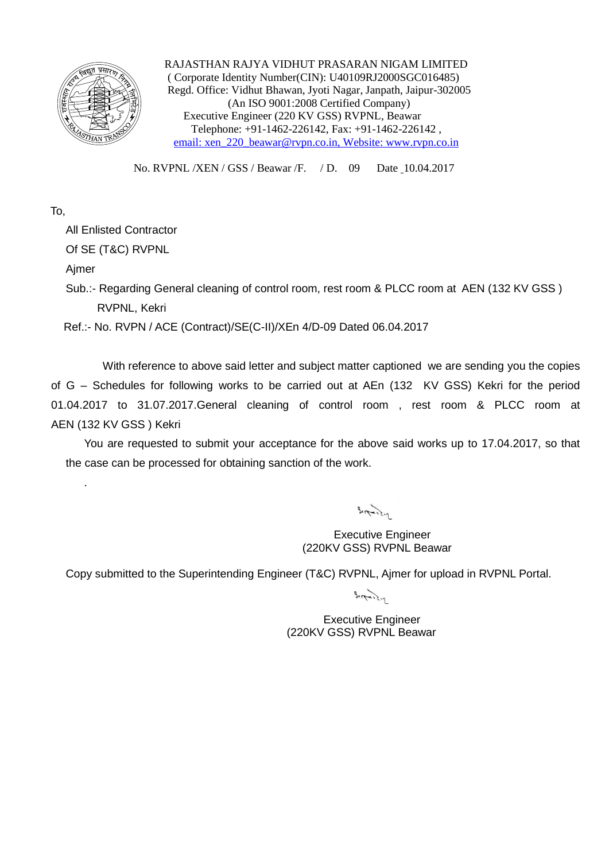

 RAJASTHAN RAJYA VIDHUT PRASARAN NIGAM LIMITED ( Corporate Identity Number(CIN): U40109RJ2000SGC016485) Regd. Office: Vidhut Bhawan, Jyoti Nagar, Janpath, Jaipur-302005 (An ISO 9001:2008 Certified Company) Executive Engineer (220 KV GSS) RVPNL, Beawar Telephone: +91-1462-226142, Fax: +91-1462-226142 , email: xen\_220\_beawar@rvpn.co.in, Website: www.rvpn.co.in

No. RVPNL /XEN / GSS / Beawar /F. / D. 09 Date 10.04.2017

## To,

All Enlisted Contractor

Of SE (T&C) RVPNL

Ajmer

.

Sub.:- Regarding General cleaning of control room, rest room & PLCC room at AEN (132 KV GSS) RVPNL, Kekri

Ref.:- No. RVPN / ACE (Contract)/SE(C-II)/XEn 4/D-09 Dated 06.04.2017

With reference to above said letter and subject matter captioned we are sending you the copies of G – Schedules for following works to be carried out at AEn (132 KV GSS) Kekri for the period 01.04.2017 to 31.07.2017.General cleaning of control room , rest room & PLCC room at AEN (132 KV GSS ) Kekri

You are requested to submit your acceptance for the above said works up to 17.04.2017, so that the case can be processed for obtaining sanction of the work.

 $\frac{1}{2} \int \frac{1}{\sqrt{1-\frac{1}{2}} \cdot \frac{1}{2}} \, d\mu$ 

 Executive Engineer (220KV GSS) RVPNL Beawar

Copy submitted to the Superintending Engineer (T&C) RVPNL, Ajmer for upload in RVPNL Portal.

 $B_{11}$ 

Executive Engineer (220KV GSS) RVPNL Beawar